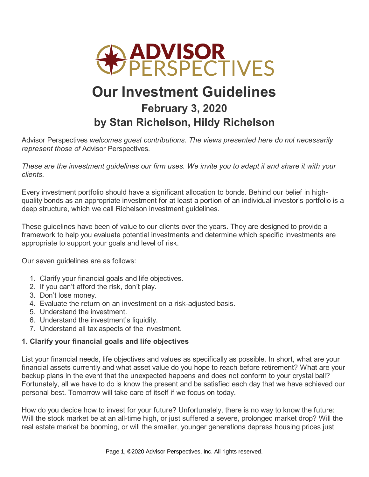

# **Our Investment Guidelines February 3, 2020 by Stan Richelson, Hildy Richelson**

Advisor Perspectives *welcomes guest contributions. The views presented here do not necessarily represent those of* Advisor Perspectives*.*

*These are the investment guidelines our firm uses. We invite you to adapt it and share it with your clients.*

Every investment portfolio should have a significant allocation to bonds. Behind our belief in highquality bonds as an appropriate investment for at least a portion of an individual investor's portfolio is a deep structure, which we call Richelson investment guidelines.

These guidelines have been of value to our clients over the years. They are designed to provide a framework to help you evaluate potential investments and determine which specific investments are appropriate to support your goals and level of risk.

Our seven guidelines are as follows:

- 1. Clarify your financial goals and life objectives.
- 2. If you can't afford the risk, don't play.
- 3. Don't lose money.
- 4. Evaluate the return on an investment on a risk-adjusted basis.
- 5. Understand the investment.
- 6. Understand the investment's liquidity.
- 7. Understand all tax aspects of the investment.

### **1. Clarify your financial goals and life objectives**

List your financial needs, life objectives and values as specifically as possible. In short, what are your financial assets currently and what asset value do you hope to reach before retirement? What are your backup plans in the event that the unexpected happens and does not conform to your crystal ball? Fortunately, all we have to do is know the present and be satisfied each day that we have achieved our personal best. Tomorrow will take care of itself if we focus on today.

How do you decide how to invest for your future? Unfortunately, there is no way to know the future: Will the stock market be at an all-time high, or just suffered a severe, prolonged market drop? Will the real estate market be booming, or will the smaller, younger generations depress housing prices just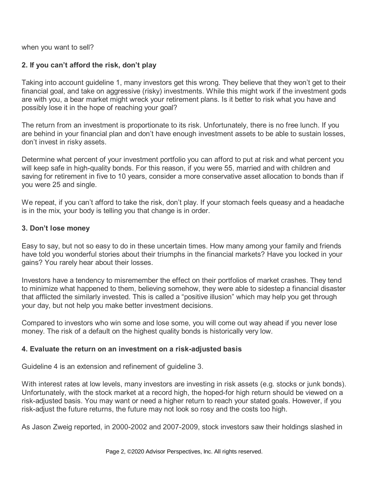when you want to sell?

# **2. If you can't afford the risk, don't play**

Taking into account guideline 1, many investors get this wrong. They believe that they won't get to their financial goal, and take on aggressive (risky) investments. While this might work if the investment gods are with you, a bear market might wreck your retirement plans. Is it better to risk what you have and possibly lose it in the hope of reaching your goal?

The return from an investment is proportionate to its risk. Unfortunately, there is no free lunch. If you are behind in your financial plan and don't have enough investment assets to be able to sustain losses, don't invest in risky assets.

Determine what percent of your investment portfolio you can afford to put at risk and what percent you will keep safe in high-quality bonds. For this reason, if you were 55, married and with children and saving for retirement in five to 10 years, consider a more conservative asset allocation to bonds than if you were 25 and single.

We repeat, if you can't afford to take the risk, don't play. If your stomach feels queasy and a headache is in the mix, your body is telling you that change is in order.

### **3. Don't lose money**

Easy to say, but not so easy to do in these uncertain times. How many among your family and friends have told you wonderful stories about their triumphs in the financial markets? Have you locked in your gains? You rarely hear about their losses.

Investors have a tendency to misremember the effect on their portfolios of market crashes. They tend to minimize what happened to them, believing somehow, they were able to sidestep a financial disaster that afflicted the similarly invested. This is called a "positive illusion" which may help you get through your day, but not help you make better investment decisions.

Compared to investors who win some and lose some, you will come out way ahead if you never lose money. The risk of a default on the highest quality bonds is historically very low.

### **4. Evaluate the return on an investment on a risk-adjusted basis**

Guideline 4 is an extension and refinement of guideline 3.

With interest rates at low levels, many investors are investing in risk assets (e.g. stocks or junk bonds). Unfortunately, with the stock market at a record high, the hoped-for high return should be viewed on a risk-adjusted basis. You may want or need a higher return to reach your stated goals. However, if you risk-adjust the future returns, the future may not look so rosy and the costs too high.

As Jason Zweig reported, in 2000-2002 and 2007-2009, stock investors saw their holdings slashed in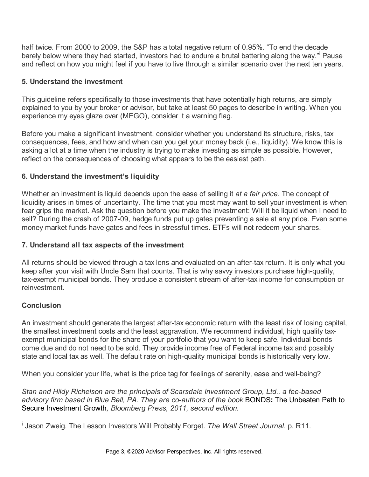half twice. From 2000 to 2009, the S&P has a total negative return of 0.95%. "To end the decade barely below where they had started, investors had to endure a brutal battering along the way.["](https://www.advisorperspectives.com/#_edn1) Pause and reflect on how you might feel if you have to live through a similar scenario over the next ten years.

### **5. Understand the investment**

This guideline refers specifically to those investments that have potentially high returns, are simply explained to you by your broker or advisor, but take at least 50 pages to describe in writing. When you experience my eyes glaze over (MEGO), consider it a warning flag.

Before you make a significant investment, consider whether you understand its structure, risks, tax consequences, fees, and how and when can you get your money back (i.e., liquidity). We know this is asking a lot at a time when the industry is trying to make investing as simple as possible. However, reflect on the consequences of choosing what appears to be the easiest path.

# **6. Understand the investment's liquidity**

Whether an investment is liquid depends upon the ease of selling it *at a fair price*. The concept of liquidity arises in times of uncertainty. The time that you most may want to sell your investment is when fear grips the market. Ask the question before you make the investment: Will it be liquid when I need to sell? During the crash of 2007-09, hedge funds put up gates preventing a sale at any price. Even some money market funds have gates and fees in stressful times. ETFs will not redeem your shares.

### **7. Understand all tax aspects of the investment**

All returns should be viewed through a tax lens and evaluated on an after-tax return. It is only what you keep after your visit with Uncle Sam that counts. That is why savvy investors purchase high-quality, tax-exempt municipal bonds. They produce a consistent stream of after-tax income for consumption or reinvestment.

### **Conclusion**

An investment should generate the largest after-tax economic return with the least risk of losing capital, the smallest investment costs and the least aggravation. We recommend individual, high quality taxexempt municipal bonds for the share of your portfolio that you want to keep safe. Individual bonds come due and do not need to be sold. They provide income free of Federal income tax and possibly state and local tax as well. The default rate on high-quality municipal bonds is historically very low.

When you consider your life, what is the price tag for feelings of serenity, ease and well-being?

*Stan and Hildy Richelson are the principals of Scarsdale Investment Group, Ltd., a fee-based [advisory firm based in Blue Bell, PA. They are co-authors of the book](https://www.amazon.com/Bonds-Unbeaten-Secure-Investment-Bloomberg-ebook/dp/B005J58MSS/ref=as_sl_pc_tf_til?tag=advisoperspe-20&linkCode=w00&linkId=11b810c08fef7f83d1cc589f70798225&creativeASIN=B005J58MSS)* BONDS**:** The Unbeaten Path to Secure Investment Growth*, Bloomberg Press, 2011, second edition.*

<sup>[i](https://www.advisorperspectives.com/#_ednref1)</sup> Jason Zweig. The Lesson Investors Will Probably Forget. The Wall Street Journal. p. R11.